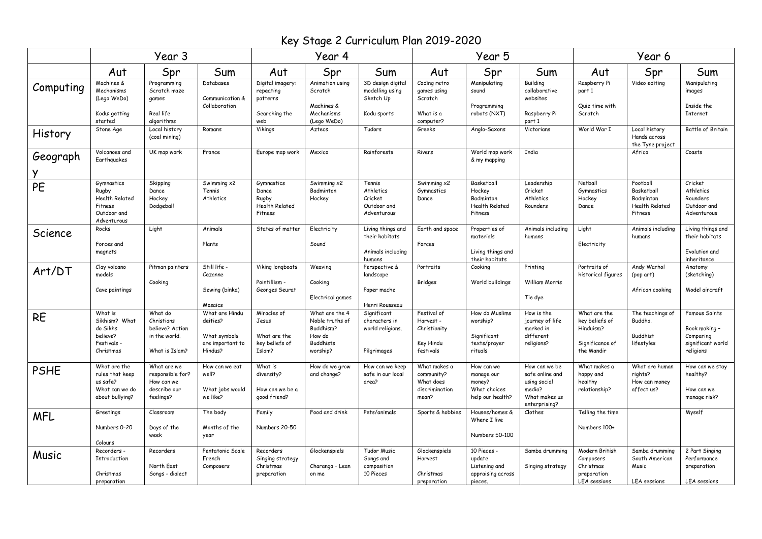Key Stage 2 Curriculum Plan 2019-2020

|             | Year 3                                                                           |                                                                             |                                                                           | Year 4                                                            |                                                                                          |                                                                    |                                                                    | Year 5                                                                 |                                                                                              | Year 6                                                                         |                                                                         |                                                                                      |
|-------------|----------------------------------------------------------------------------------|-----------------------------------------------------------------------------|---------------------------------------------------------------------------|-------------------------------------------------------------------|------------------------------------------------------------------------------------------|--------------------------------------------------------------------|--------------------------------------------------------------------|------------------------------------------------------------------------|----------------------------------------------------------------------------------------------|--------------------------------------------------------------------------------|-------------------------------------------------------------------------|--------------------------------------------------------------------------------------|
|             | Aut                                                                              | Spr                                                                         | Sum                                                                       | Aut                                                               | Spr                                                                                      | Sum                                                                | Aut                                                                | Spr                                                                    | Sum                                                                                          | Aut                                                                            | Spr                                                                     | Sum                                                                                  |
| Computing   | Machines &<br>Mechanisms<br>(Lego WeDo)<br>Kodu: getting<br>started              | Programming<br>Scratch maze<br>games<br>Real life<br>algorithms             | Databases<br>Communication &<br>Collaboration                             | Digital imagery:<br>repeating<br>patterns<br>Searching the<br>web | Animation using<br>Scratch<br>Machines &<br>Mechanisms<br>(Lego WeDo)                    | 3D design digital<br>modelling using<br>Sketch Up<br>Kodu sports   | Coding retro<br>games using<br>Scratch<br>What is a<br>computer?   | Manipulating<br>sound<br>Programming<br>robots (NXT)                   | Building<br>collaborative<br>websites<br>Raspberry Pi<br>part 1                              | Raspberry Pi<br>part 1<br>Quiz time with<br>Scratch                            | Video editing                                                           | Manipulating<br>images<br>Inside the<br><b>Internet</b>                              |
| History     | Stone Age                                                                        | Local history<br>(coal mining)                                              | Romans                                                                    | Vikings                                                           | Aztecs                                                                                   | Tudors                                                             | Greeks                                                             | Anglo-Saxons                                                           | Victorians                                                                                   | World War I                                                                    | Local history<br>Hands across<br>the Tyne project                       | Battle of Britain                                                                    |
| Geograph    | Volcanoes and<br>Earthguakes                                                     | UK map work                                                                 | France                                                                    | Europe map work                                                   | Mexico                                                                                   | Rainforests                                                        | Rivers                                                             | World map work<br>& my mapping                                         | India                                                                                        |                                                                                | Africa                                                                  | Coasts                                                                               |
| PE          | Gymnastics<br>Rugby<br>Health Related<br>Fitness<br>Outdoor and<br>Adventurous   | Skipping<br>Dance<br>Hockey<br>Dodgeball                                    | Swimming x2<br>Tennis<br>Athletics                                        | Gymnastics<br>Dance<br>Rugby<br>Health Related<br>Fitness         | Swimming x2<br>Badminton<br>Hockey                                                       | Tennis<br>Athletics<br>Cricket<br>Outdoor and<br>Adventurous       | Swimming x2<br>Gymnastics<br>Dance                                 | Basketball<br>Hockey<br>Badminton<br><b>Health Related</b><br>Fitness  | Leadership<br>Cricket<br>Athletics<br>Rounders                                               | Netball<br>Gymnastics<br>Hockey<br>Dance                                       | Football<br>Basketball<br>Badminton<br><b>Health Related</b><br>Fitness | Cricket<br>Athletics<br>Rounders<br>Outdoor and<br>Adventurous                       |
| Science     | Rocks<br>Forces and<br>magnets                                                   | Light                                                                       | Animals<br>Plants                                                         | States of matter                                                  | Electricity<br>Sound                                                                     | Living things and<br>their habitats<br>Animals including<br>humans | Earth and space<br>Forces                                          | Properties of<br>materials<br>Living things and<br>their habitats      | Animals including<br>humans                                                                  | Light<br>Electricity                                                           | Animals including<br>humans                                             | Living things and<br>their habitats<br>Evolution and<br>inheritance                  |
| Art/DT      | Clay volcano<br>models<br>Cave paintings                                         | Pitman painters<br>Cooking                                                  | Still life<br>Cezanne<br>Sewing (binka)<br>Mosaics                        | Viking longboats<br>Pointillism -<br>Georges Seurat               | Weaving<br>Cooking<br>Electrical games                                                   | Perspective &<br>landscape<br>Paper mache<br>Henri Rousseau        | Portraits<br>Bridges                                               | Cookina<br>World buildings                                             | Printing<br>William Morris<br>Tie dye                                                        | Portraits of<br>historical figures                                             | Andy Warhol<br>(pop art)<br>African cooking                             | Anatomy<br>(sketching)<br>Model aircraft                                             |
| <b>RE</b>   | What is<br>Sikhism? What<br>do Sikhs<br>believe?<br>Festivals.<br>Christmas      | What do<br>Christians<br>believe? Action<br>in the world.<br>What is Islam? | What are Hindu<br>deities?<br>What symbols<br>are important to<br>Hindus? | Miracles of<br>Jesus<br>What are the<br>key beliefs of<br>Islam?  | What are the 4<br>Noble truths of<br>Buddhism?<br>How do<br><b>Buddhists</b><br>worship? | Significant<br>characters in<br>world religions.<br>Pilgrimages    | Festival of<br>Harvest -<br>Christianity<br>Key Hindu<br>festivals | How do Muslims<br>worship?<br>Significant<br>texts/prayer<br>rituals   | How is the<br>journey of life<br>marked in<br>different<br>religions?                        | What are the<br>key beliefs of<br>Hinduism?<br>Significance of<br>the Mandir   | The teachings of<br>Buddha.<br><b>Buddhist</b><br>lifestyles            | <b>Famous Saints</b><br>Book making -<br>Comparing<br>significant world<br>religions |
| <b>PSHE</b> | What are the<br>rules that keep<br>us safe?<br>What can we do<br>about bullying? | What are we<br>responsible for?<br>How can we<br>describe our<br>feelings?  | How can we eat<br>well?<br>What jobs would<br>we like?                    | What is<br>diversity?<br>How can we be a<br>qood friend?          | How do we grow<br>and change?                                                            | How can we keep<br>safe in our local<br>area?                      | What makes a<br>community?<br>What does<br>discrimination<br>mean? | How can we<br>manage our<br>money?<br>What choices<br>help our health? | How can we be<br>safe online and<br>using social<br>media?<br>What makes us<br>enterprising? | What makes a<br>happy and<br>healthy<br>relationship?                          | What are human<br>rights?<br>How can money<br>affect us?                | How can we stay<br>healthy?<br>How can we<br>manage risk?                            |
| <b>MFL</b>  | Greetings<br>Numbers 0-20<br>Colours                                             | Classroom<br>Days of the<br>week                                            | The body<br>Months of the<br>year                                         | Family<br>Numbers 20-50                                           | Food and drink                                                                           | Pets/animals                                                       | Sports & hobbies                                                   | Houses/homes &<br>Where I live<br>Numbers 50-100                       | Clothes                                                                                      | Telling the time<br>Numbers 100+                                               |                                                                         | Myself                                                                               |
| Music       | Recorders -<br>Introduction<br>Christmas<br>preparation                          | Recorders<br>North East<br>Songs - dialect                                  | Pentatonic Scale<br>French<br>Composers                                   | Recorders<br>Singing strategy<br>Christmas<br>preparation         | Glockenspiels<br>Charanga - Lean<br>on me                                                | Tudor Music<br>Songs and<br>composition<br>10 Pieces               | Glockenspiels<br>Harvest<br>Christmas<br>preparation               | 10 Pieces -<br>update<br>Listening and<br>appraising across<br>pieces. | Samba drumming<br>Singing strategy                                                           | Modern British<br>Composers<br>Christmas<br>preparation<br><b>LEA</b> sessions | Samba drumming<br>South American<br>Music<br><b>LEA</b> sessions        | 2 Part Singing<br>Performance<br>preparation<br><b>LEA</b> sessions                  |